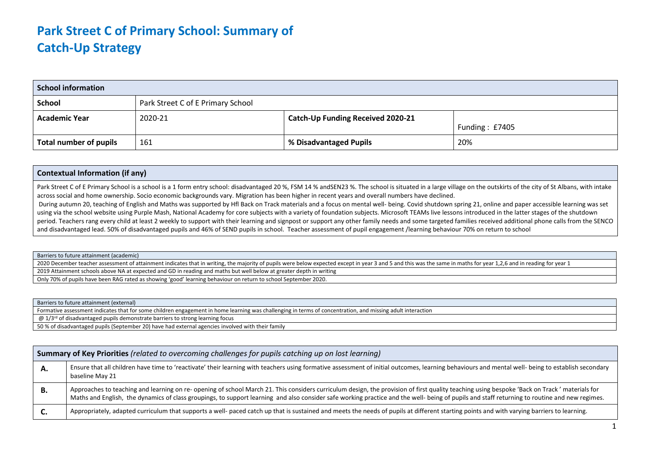## **Park Street C of Primary School: Summary of Catch-Up Strategy**

| <b>School information</b> |                                   |                                          |                  |  |  |  |
|---------------------------|-----------------------------------|------------------------------------------|------------------|--|--|--|
| <b>School</b>             | Park Street C of E Primary School |                                          |                  |  |  |  |
| <b>Academic Year</b>      | 2020-21                           | <b>Catch-Up Funding Received 2020-21</b> | Funding: $£7405$ |  |  |  |
| Total number of pupils    | 161                               | % Disadvantaged Pupils                   | 20%              |  |  |  |

## **Contextual Information (if any)**

Park Street C of E Primary School is a school is a 1 form entry school: disadvantaged 20 %, FSM 14 % andSEN23 %. The school is situated in a large village on the outskirts of the city of St Albans, with intake across social and home ownership. Socio economic backgrounds vary. Migration has been higher in recent years and overall numbers have declined.

During autumn 20, teaching of English and Maths was supported by Hfl Back on Track materials and a focus on mental well- being. Covid shutdown spring 21, online and paper accessible learning was set using via the school website using Purple Mash, National Academy for core subjects with a variety of foundation subjects. Microsoft TEAMs live lessons introduced in the latter stages of the shutdown period. Teachers rang every child at least 2 weekly to support with their learning and signpost or support any other family needs and some targeted families received additional phone calls from the SENCO and disadvantaged lead. 50% of disadvantaged pupils and 46% of SEND pupils in school. Teacher assessment of pupil engagement /learning behaviour 70% on return to school

Barriers to future attainment (academic)

2020 December teacher assessment of attainment indicates that in writing, the majority of pupils were below expected except in year 3 and 5 and this was the same in maths for year 1.2.6 and in reading for year 1 2019 Attainment schools above NA at expected and GD in reading and maths but well below at greater depth in writing

Only 70% of pupils have been RAG rated as showing 'good' learning behaviour on return to school September 2020.

Barriers to future attainment (external) Formative assessment indicates that for some children engagement in home learning was challenging in terms of concentration, and missing adult interaction

 $\omega$  1/3<sup>rd</sup> of disadvantaged pupils demonstrate barriers to strong learning focus

50 % of disadvantaged pupils (September 20) have had external agencies involved with their family

|    | <b>Summary of Ney Priorities</b> (related to overcoming challenges for papils cateming up on lost learning)                                                                                                                                                                                                                                                                                   |  |  |  |  |  |  |
|----|-----------------------------------------------------------------------------------------------------------------------------------------------------------------------------------------------------------------------------------------------------------------------------------------------------------------------------------------------------------------------------------------------|--|--|--|--|--|--|
| А. | Ensure that all children have time to 'reactivate' their learning with teachers using formative assessment of initial outcomes, learning behaviours and mental well- being to establish secondary<br>baseline May 21                                                                                                                                                                          |  |  |  |  |  |  |
| В. | Approaches to teaching and learning on re- opening of school March 21. This considers curriculum design, the provision of first quality teaching using bespoke 'Back on Track' materials for<br>Maths and English, the dynamics of class groupings, to support learning and also consider safe working practice and the well- being of pupils and staff returning to routine and new regimes. |  |  |  |  |  |  |
| ີ. | Appropriately, adapted curriculum that supports a well- paced catch up that is sustained and meets the needs of pupils at different starting points and with varying barriers to learning.                                                                                                                                                                                                    |  |  |  |  |  |  |

## **Summary of Key Priorities** *(related to overcoming challenges for pupils catching up on lost learning)*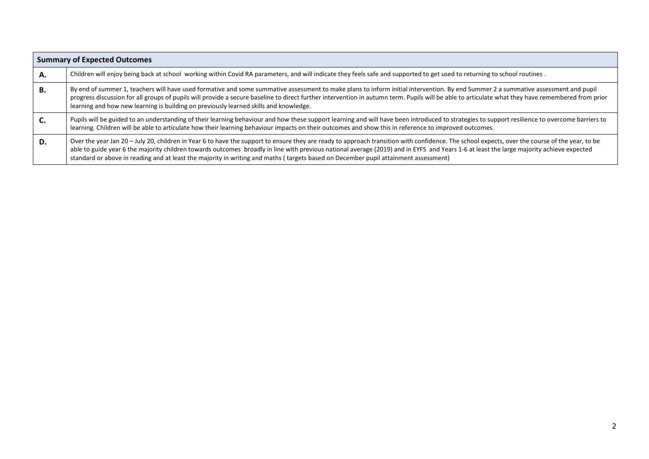|    | <b>Summary of Expected Outcomes</b>                                                                                                                                                                                                                                                                                                                                                                                                                                                                                               |
|----|-----------------------------------------------------------------------------------------------------------------------------------------------------------------------------------------------------------------------------------------------------------------------------------------------------------------------------------------------------------------------------------------------------------------------------------------------------------------------------------------------------------------------------------|
| А. | Children will enjoy being back at school working within Covid RA parameters, and will indicate they feels safe and supported to get used to returning to school routines.                                                                                                                                                                                                                                                                                                                                                         |
| В. | By end of summer 1, teachers will have used formative and some summative assessment to make plans to inform initial intervention. By end Summer 2 a summative assessment and pupil<br>progress discussion for all groups of pupils will provide a secure baseline to direct further intervention in autumn term. Pupils will be able to articulate what they have remembered from prior<br>learning and how new learning is building on previously learned skills and knowledge.                                                  |
|    | Pupils will be guided to an understanding of their learning behaviour and how these support learning and will have been introduced to strategies to support resilience to overcome barriers to<br>learning. Children will be able to articulate how their learning behaviour impacts on their outcomes and show this in reference to improved outcomes.                                                                                                                                                                           |
| D. | Over the year Jan 20 - July 20, children in Year 6 to have the support to ensure they are ready to approach transition with confidence. The school expects, over the course of the year, to be<br>able to guide year 6 the majority children towards outcomes broadly in line with previous national average (2019) and in EYFS and Years 1-6 at least the large majority achieve expected<br>standard or above in reading and at least the majority in writing and maths (targets based on December pupil attainment assessment) |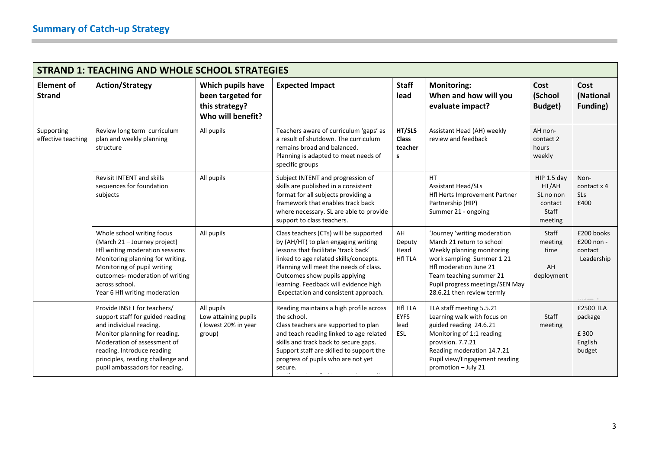| <b>STRAND 1: TEACHING AND WHOLE SCHOOL STRATEGIES</b> |                                                                                                                                                                                                                                                                 |                                                                               |                                                                                                                                                                                                                                                                                                                             |                                              |                                                                                                                                                                                                                                           |                                                                  |                                                    |
|-------------------------------------------------------|-----------------------------------------------------------------------------------------------------------------------------------------------------------------------------------------------------------------------------------------------------------------|-------------------------------------------------------------------------------|-----------------------------------------------------------------------------------------------------------------------------------------------------------------------------------------------------------------------------------------------------------------------------------------------------------------------------|----------------------------------------------|-------------------------------------------------------------------------------------------------------------------------------------------------------------------------------------------------------------------------------------------|------------------------------------------------------------------|----------------------------------------------------|
| <b>Element of</b><br><b>Strand</b>                    | <b>Action/Strategy</b>                                                                                                                                                                                                                                          | Which pupils have<br>been targeted for<br>this strategy?<br>Who will benefit? | <b>Expected Impact</b>                                                                                                                                                                                                                                                                                                      | <b>Staff</b><br>lead                         | <b>Monitoring:</b><br>When and how will you<br>evaluate impact?                                                                                                                                                                           | Cost<br>(School<br>Budget)                                       | Cost<br>(National<br><b>Funding</b> )              |
| Supporting<br>effective teaching                      | Review long term curriculum<br>plan and weekly planning<br>structure                                                                                                                                                                                            | All pupils                                                                    | Teachers aware of curriculum 'gaps' as<br>a result of shutdown. The curriculum<br>remains broad and balanced.<br>Planning is adapted to meet needs of<br>specific groups                                                                                                                                                    | HT/SLS<br><b>Class</b><br>teacher<br>s       | Assistant Head (AH) weekly<br>review and feedback                                                                                                                                                                                         | AH non-<br>contact 2<br>hours<br>weekly                          |                                                    |
|                                                       | <b>Revisit INTENT and skills</b><br>sequences for foundation<br>subjects                                                                                                                                                                                        | All pupils                                                                    | Subject INTENT and progression of<br>skills are published in a consistent<br>format for all subjects providing a<br>framework that enables track back<br>where necessary. SL are able to provide<br>support to class teachers.                                                                                              |                                              | HT.<br><b>Assistant Head/SLs</b><br>Hfl Herts Improvement Partner<br>Partnership (HIP)<br>Summer 21 - ongoing                                                                                                                             | HIP 1.5 day<br>HT/AH<br>SL no non<br>contact<br>Staff<br>meeting | Non-<br>contact x 4<br><b>SLs</b><br>£400          |
|                                                       | Whole school writing focus<br>(March 21 - Journey project)<br>Hfl writing moderation sessions<br>Monitoring planning for writing.<br>Monitoring of pupil writing<br>outcomes- moderation of writing<br>across school.<br>Year 6 Hfl writing moderation          | All pupils                                                                    | Class teachers (CTs) will be supported<br>by (AH/HT) to plan engaging writing<br>lessons that facilitate 'track back'<br>linked to age related skills/concepts.<br>Planning will meet the needs of class.<br>Outcomes show pupils applying<br>learning. Feedback will evidence high<br>Expectation and consistent approach. | AH<br>Deputy<br>Head<br><b>HfI TLA</b>       | 'Journey 'writing moderation<br>March 21 return to school<br>Weekly planning monitoring<br>work sampling Summer 121<br>Hfl moderation June 21<br>Team teaching summer 21<br>Pupil progress meetings/SEN May<br>28.6.21 then review termly | Staff<br>meeting<br>time<br>AH<br>deployment                     | £200 books<br>£200 non -<br>contact<br>Leadership  |
|                                                       | Provide INSET for teachers/<br>support staff for guided reading<br>and individual reading.<br>Monitor planning for reading.<br>Moderation of assessment of<br>reading. Introduce reading<br>principles, reading challenge and<br>pupil ambassadors for reading, | All pupils<br>Low attaining pupils<br>(lowest 20% in year<br>group)           | Reading maintains a high profile across<br>the school.<br>Class teachers are supported to plan<br>and teach reading linked to age related<br>skills and track back to secure gaps.<br>Support staff are skilled to support the<br>progress of pupils who are not yet<br>secure.<br>$\sim 10^{-1}$ and $\sim 10^{-1}$        | <b>HfI TLA</b><br><b>EYFS</b><br>lead<br>ESL | TLA staff meeting 5.5.21<br>Learning walk with focus on<br>guided reading 24.6.21<br>Monitoring of 1:1 reading<br>provision. 7.7.21<br>Reading moderation 14.7.21<br>Pupil view/Engagement reading<br>promotion - July 21                 | Staff<br>meeting                                                 | £2500 TLA<br>package<br>£ 300<br>English<br>budget |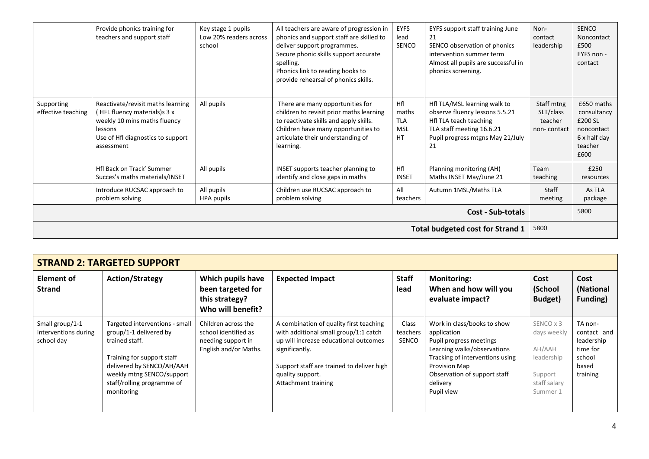|                                         | Provide phonics training for<br>teachers and support staff                                                                                                      | Key stage 1 pupils<br>Low 20% readers across<br>school | All teachers are aware of progression in<br>phonics and support staff are skilled to<br>deliver support programmes.<br>Secure phonic skills support accurate<br>spelling.<br>Phonics link to reading books to<br>provide rehearsal of phonics skills. | <b>EYFS</b><br>lead<br><b>SENCO</b>                   | EYFS support staff training June<br>21<br>SENCO observation of phonics<br>intervention summer term<br>Almost all pupils are successful in<br>phonics screening. | Non-<br>contact<br>leadership                     | <b>SENCO</b><br>Noncontact<br>£500<br>EYFS non -<br>contact                           |
|-----------------------------------------|-----------------------------------------------------------------------------------------------------------------------------------------------------------------|--------------------------------------------------------|-------------------------------------------------------------------------------------------------------------------------------------------------------------------------------------------------------------------------------------------------------|-------------------------------------------------------|-----------------------------------------------------------------------------------------------------------------------------------------------------------------|---------------------------------------------------|---------------------------------------------------------------------------------------|
| Supporting<br>effective teaching        | Reactivate/revisit maths learning<br>(HFL fluency materials)s 3 x<br>weekly 10 mins maths fluency<br>lessons<br>Use of Hfl diagnostics to support<br>assessment | All pupils                                             | There are many opportunities for<br>children to revisit prior maths learning<br>to reactivate skills and apply skills.<br>Children have many opportunities to<br>articulate their understanding of<br>learning.                                       | Hfl<br>maths<br><b>TLA</b><br><b>MSL</b><br><b>HT</b> | Hfl TLA/MSL learning walk to<br>observe fluency lessons 5.5.21<br>Hfl TLA teach teaching<br>TLA staff meeting 16.6.21<br>Pupil progress mtgns May 21/July<br>21 | Staff mtng<br>SLT/class<br>teacher<br>non-contact | £650 maths<br>consultancy<br>£200 SL<br>noncontact<br>6 x half day<br>teacher<br>£600 |
|                                         | Hfl Back on Track' Summer<br>Succes's maths materials/INSET                                                                                                     | All pupils                                             | INSET supports teacher planning to<br>identify and close gaps in maths                                                                                                                                                                                | Hfl<br><b>INSET</b>                                   | Planning monitoring (AH)<br>Maths INSET May/June 21                                                                                                             | Team<br>teaching                                  | £250<br>resources                                                                     |
|                                         | Introduce RUCSAC approach to<br>problem solving                                                                                                                 | All pupils<br>HPA pupils                               | Children use RUCSAC approach to<br>problem solving                                                                                                                                                                                                    | All<br>teachers                                       | Autumn 1MSL/Maths TLA                                                                                                                                           | Staff<br>meeting                                  | As TLA<br>package                                                                     |
| <b>Cost - Sub-totals</b>                |                                                                                                                                                                 |                                                        |                                                                                                                                                                                                                                                       |                                                       |                                                                                                                                                                 |                                                   | 5800                                                                                  |
| <b>Total budgeted cost for Strand 1</b> |                                                                                                                                                                 |                                                        |                                                                                                                                                                                                                                                       |                                                       | 5800                                                                                                                                                            |                                                   |                                                                                       |

| <b>STRAND 2: TARGETED SUPPORT</b>                     |                                                                                                                                                                                                                |                                                                                            |                                                                                                                                                                                                                                     |                                   |                                                                                                                                                                                                                    |                                                                                         |                                                                                 |
|-------------------------------------------------------|----------------------------------------------------------------------------------------------------------------------------------------------------------------------------------------------------------------|--------------------------------------------------------------------------------------------|-------------------------------------------------------------------------------------------------------------------------------------------------------------------------------------------------------------------------------------|-----------------------------------|--------------------------------------------------------------------------------------------------------------------------------------------------------------------------------------------------------------------|-----------------------------------------------------------------------------------------|---------------------------------------------------------------------------------|
| <b>Element of</b><br><b>Strand</b>                    | <b>Action/Strategy</b>                                                                                                                                                                                         | Which pupils have<br>been targeted for<br>this strategy?<br>Who will benefit?              | <b>Expected Impact</b>                                                                                                                                                                                                              | <b>Staff</b><br>lead              | <b>Monitoring:</b><br>When and how will you<br>evaluate impact?                                                                                                                                                    | Cost<br>(School<br>Budget)                                                              | Cost<br>(National<br>Funding)                                                   |
| Small group/1-1<br>interventions during<br>school day | Targeted interventions - small<br>group/1-1 delivered by<br>trained staff.<br>Training for support staff<br>delivered by SENCO/AH/AAH<br>weekly mtng SENCO/support<br>staff/rolling programme of<br>monitoring | Children across the<br>school identified as<br>needing support in<br>English and/or Maths. | A combination of quality first teaching<br>with additional small group/1:1 catch<br>up will increase educational outcomes<br>significantly.<br>Support staff are trained to deliver high<br>quality support.<br>Attachment training | Class<br>teachers<br><b>SENCO</b> | Work in class/books to show<br>application<br>Pupil progress meetings<br>Learning walks/observations<br>Tracking of interventions using<br>Provision Map<br>Observation of support staff<br>delivery<br>Pupil view | SENCO x 3<br>days weekly<br>AH/AAH<br>leadership<br>Support<br>staff salary<br>Summer 1 | TA non-<br>contact and<br>leadership<br>time for<br>school<br>based<br>training |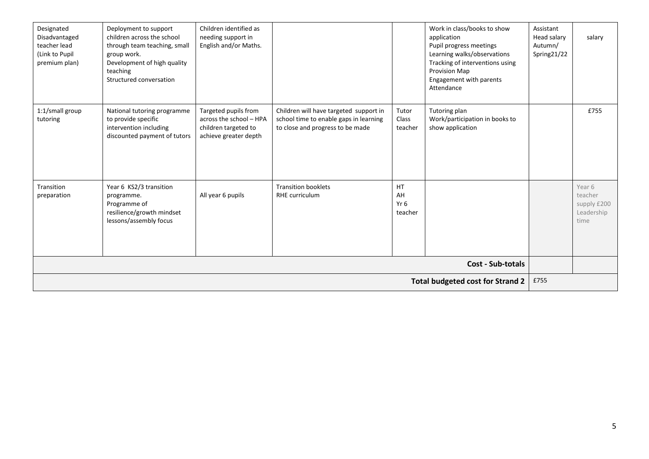| Designated<br>Disadvantaged<br>teacher lead<br>(Link to Pupil<br>premium plan) | Deployment to support<br>children across the school<br>through team teaching, small<br>group work.<br>Development of high quality<br>teaching<br>Structured conversation | Children identified as<br>needing support in<br>English and/or Maths.                            |                                                                                                                      |                             | Work in class/books to show<br>application<br>Pupil progress meetings<br>Learning walks/observations<br>Tracking of interventions using<br>Provision Map<br>Engagement with parents<br>Attendance | Assistant<br>Head salary<br>Autumn/<br>Spring21/22 | salary                                                 |
|--------------------------------------------------------------------------------|--------------------------------------------------------------------------------------------------------------------------------------------------------------------------|--------------------------------------------------------------------------------------------------|----------------------------------------------------------------------------------------------------------------------|-----------------------------|---------------------------------------------------------------------------------------------------------------------------------------------------------------------------------------------------|----------------------------------------------------|--------------------------------------------------------|
| 1:1/small group<br>tutoring                                                    | National tutoring programme<br>to provide specific<br>intervention including<br>discounted payment of tutors                                                             | Targeted pupils from<br>across the school - HPA<br>children targeted to<br>achieve greater depth | Children will have targeted support in<br>school time to enable gaps in learning<br>to close and progress to be made | Tutor<br>Class<br>teacher   | Tutoring plan<br>Work/participation in books to<br>show application                                                                                                                               |                                                    | £755                                                   |
| Transition<br>preparation                                                      | Year 6 KS2/3 transition<br>programme.<br>Programme of<br>resilience/growth mindset<br>lessons/assembly focus                                                             | All year 6 pupils                                                                                | <b>Transition booklets</b><br>RHE curriculum                                                                         | HT<br>AH<br>Yr 6<br>teacher |                                                                                                                                                                                                   |                                                    | Year 6<br>teacher<br>supply £200<br>Leadership<br>time |
|                                                                                |                                                                                                                                                                          |                                                                                                  |                                                                                                                      |                             | <b>Cost - Sub-totals</b>                                                                                                                                                                          |                                                    |                                                        |
| <b>Total budgeted cost for Strand 2</b>                                        |                                                                                                                                                                          |                                                                                                  |                                                                                                                      |                             |                                                                                                                                                                                                   | £755                                               |                                                        |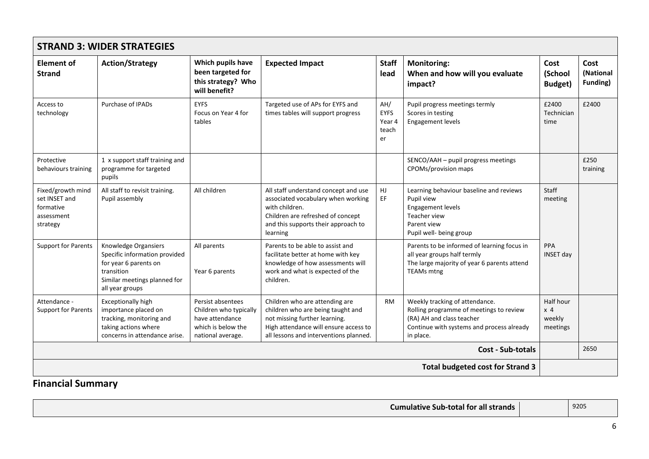| <b>STRAND 3: WIDER STRATEGIES</b>                                         |                                                                                                                                                 |                                                                                                           |                                                                                                                                                                                         |                                             |                                                                                                                                                                  |                                                   |                                      |
|---------------------------------------------------------------------------|-------------------------------------------------------------------------------------------------------------------------------------------------|-----------------------------------------------------------------------------------------------------------|-----------------------------------------------------------------------------------------------------------------------------------------------------------------------------------------|---------------------------------------------|------------------------------------------------------------------------------------------------------------------------------------------------------------------|---------------------------------------------------|--------------------------------------|
| <b>Element of</b><br><b>Strand</b>                                        | <b>Action/Strategy</b>                                                                                                                          | Which pupils have<br>been targeted for<br>this strategy? Who<br>will benefit?                             | <b>Expected Impact</b>                                                                                                                                                                  | <b>Staff</b><br>lead                        | <b>Monitoring:</b><br>When and how will you evaluate<br>impact?                                                                                                  | Cost<br>(School<br>Budget)                        | Cost<br>(National<br><b>Funding)</b> |
| Access to<br>technology                                                   | Purchase of IPADs                                                                                                                               | <b>EYFS</b><br>Focus on Year 4 for<br>tables                                                              | Targeted use of APs for EYFS and<br>times tables will support progress                                                                                                                  | AH/<br><b>EYFS</b><br>Year 4<br>teach<br>er | Pupil progress meetings termly<br>Scores in testing<br>Engagement levels                                                                                         | £2400<br>Technician<br>time                       | £2400                                |
| Protective<br>behaviours training                                         | 1 x support staff training and<br>programme for targeted<br>pupils                                                                              |                                                                                                           |                                                                                                                                                                                         |                                             | SENCO/AAH - pupil progress meetings<br>CPOMs/provision maps                                                                                                      |                                                   | £250<br>training                     |
| Fixed/growth mind<br>set INSET and<br>formative<br>assessment<br>strategy | All staff to revisit training.<br>Pupil assembly                                                                                                | All children                                                                                              | All staff understand concept and use<br>associated vocabulary when working<br>with children.<br>Children are refreshed of concept<br>and this supports their approach to<br>learning    | HJ<br>EF                                    | Learning behaviour baseline and reviews<br>Pupil view<br>Engagement levels<br>Teacher view<br>Parent view<br>Pupil well- being group                             | Staff<br>meeting                                  |                                      |
| <b>Support for Parents</b>                                                | Knowledge Organsiers<br>Specific information provided<br>for year 6 parents on<br>transition<br>Similar meetings planned for<br>all year groups | All parents<br>Year 6 parents                                                                             | Parents to be able to assist and<br>facilitate better at home with key<br>knowledge of how assessments will<br>work and what is expected of the<br>children.                            |                                             | Parents to be informed of learning focus in<br>all year groups half termly<br>The large majority of year 6 parents attend<br><b>TEAMs</b> mtng                   | PPA<br><b>INSET day</b>                           |                                      |
| Attendance -<br><b>Support for Parents</b>                                | <b>Exceptionally high</b><br>importance placed on<br>tracking, monitoring and<br>taking actions where<br>concerns in attendance arise.          | Persist absentees<br>Children who typically<br>have attendance<br>which is below the<br>national average. | Children who are attending are<br>children who are being taught and<br>not missing further learning.<br>High attendance will ensure access to<br>all lessons and interventions planned. | RM                                          | Weekly tracking of attendance.<br>Rolling programme of meetings to review<br>(RA) AH and class teacher<br>Continue with systems and process already<br>in place. | Half hour<br>x <sub>4</sub><br>weekly<br>meetings |                                      |
|                                                                           |                                                                                                                                                 |                                                                                                           |                                                                                                                                                                                         |                                             | <b>Cost - Sub-totals</b>                                                                                                                                         |                                                   | 2650                                 |
| <b>Total budgeted cost for Strand 3</b>                                   |                                                                                                                                                 |                                                                                                           |                                                                                                                                                                                         |                                             |                                                                                                                                                                  |                                                   |                                      |

**Financial Summary**

| $\epsilon$ Sub-total for all strands $\mathbb F$<br>Cumulative | 9205 |  |
|----------------------------------------------------------------|------|--|
|                                                                |      |  |